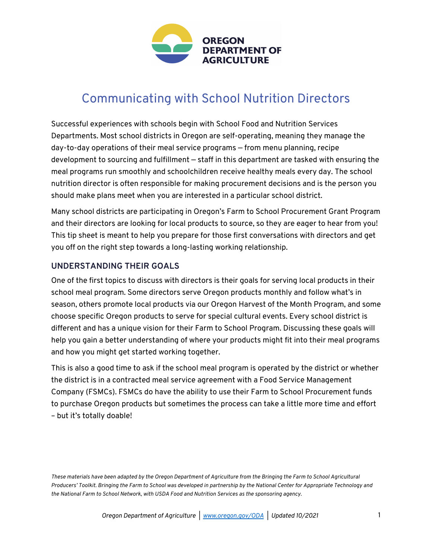

# Communicating with School Nutrition Directors

Successful experiences with schools begin with School Food and Nutrition Services Departments. Most school districts in Oregon are self-operating, meaning they manage the day-to-day operations of their meal service programs — from menu planning, recipe development to sourcing and fulfillment — staff in this department are tasked with ensuring the meal programs run smoothly and schoolchildren receive healthy meals every day. The school nutrition director is often responsible for making procurement decisions and is the person you should make plans meet when you are interested in a particular school district.

Many school districts are participating in Oregon's Farm to School Procurement Grant Program and their directors are looking for local products to source, so they are eager to hear from you! This tip sheet is meant to help you prepare for those first conversations with directors and get you off on the right step towards a long-lasting working relationship.

### **UNDERSTANDING THEIR GOALS**

One of the first topics to discuss with directors is their goals for serving local products in their school meal program. Some directors serve Oregon products monthly and follow what's in season, others promote local products via our Oregon Harvest of the Month Program, and some choose specific Oregon products to serve for special cultural events. Every school district is different and has a unique vision for their Farm to School Program. Discussing these goals will help you gain a better understanding of where your products might fit into their meal programs and how you might get started working together.

This is also a good time to ask if the school meal program is operated by the district or whether the district is in a contracted meal service agreement with a Food Service Management Company (FSMCs). FSMCs do have the ability to use their Farm to School Procurement funds to purchase Oregon products but sometimes the process can take a little more time and effort – but it's totally doable!

*These materials have been adapted by the Oregon Department of Agriculture from the Bringing the Farm to School Agricultural Producers' Toolkit. Bringing the Farm to School was developed in partnership by the National Center for Appropriate Technology and the National Farm to School Network, with USDA Food and Nutrition Services as the sponsoring agency.*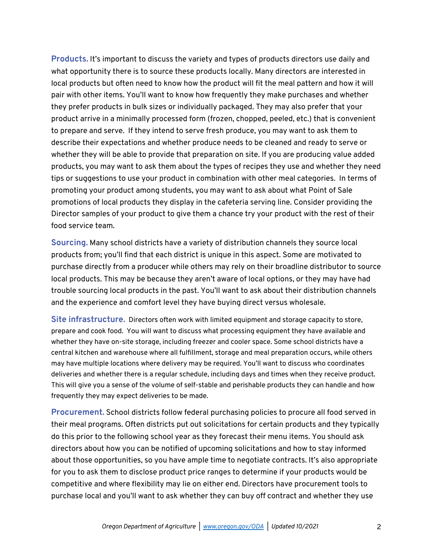**Products.** It's important to discuss the variety and types of products directors use daily and what opportunity there is to source these products locally. Many directors are interested in local products but often need to know how the product will fit the meal pattern and how it will pair with other items. You'll want to know how frequently they make purchases and whether they prefer products in bulk sizes or individually packaged. They may also prefer that your product arrive in a minimally processed form (frozen, chopped, peeled, etc.) that is convenient to prepare and serve. If they intend to serve fresh produce, you may want to ask them to describe their expectations and whether produce needs to be cleaned and ready to serve or whether they will be able to provide that preparation on site. If you are producing value added products, you may want to ask them about the types of recipes they use and whether they need tips or suggestions to use your product in combination with other meal categories. In terms of promoting your product among students, you may want to ask about what Point of Sale promotions of local products they display in the cafeteria serving line. Consider providing the Director samples of your product to give them a chance try your product with the rest of their food service team.

**Sourcing.** Many school districts have a variety of distribution channels they source local products from; you'll find that each district is unique in this aspect. Some are motivated to purchase directly from a producer while others may rely on their broadline distributor to source local products. This may be because they aren't aware of local options, or they may have had trouble sourcing local products in the past. You'll want to ask about their distribution channels and the experience and comfort level they have buying direct versus wholesale.

**Site infrastructure.** Directors often work with limited equipment and storage capacity to store, prepare and cook food. You will want to discuss what processing equipment they have available and whether they have on-site storage, including freezer and cooler space. Some school districts have a central kitchen and warehouse where all fulfillment, storage and meal preparation occurs, while others may have multiple locations where delivery may be required. You'll want to discuss who coordinates deliveries and whether there is a regular schedule, including days and times when they receive product. This will give you a sense of the volume of self-stable and perishable products they can handle and how frequently they may expect deliveries to be made.

**Procurement.** School districts follow federal purchasing policies to procure all food served in their meal programs. Often districts put out solicitations for certain products and they typically do this prior to the following school year as they forecast their menu items. You should ask directors about how you can be notified of upcoming solicitations and how to stay informed about those opportunities, so you have ample time to negotiate contracts. It's also appropriate for you to ask them to disclose product price ranges to determine if your products would be competitive and where flexibility may lie on either end. Directors have procurement tools to purchase local and you'll want to ask whether they can buy off contract and whether they use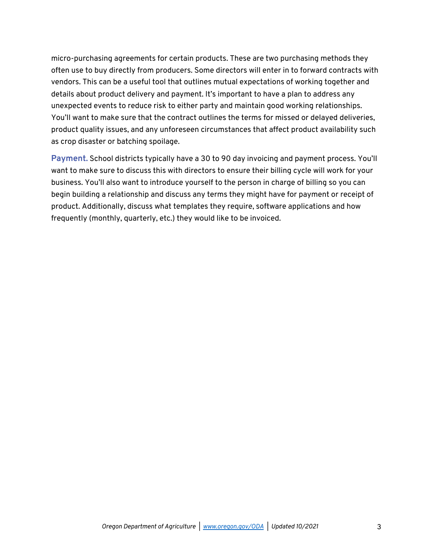micro-purchasing agreements for certain products. These are two purchasing methods they often use to buy directly from producers. Some directors will enter in to forward contracts with vendors. This can be a useful tool that outlines mutual expectations of working together and details about product delivery and payment. It's important to have a plan to address any unexpected events to reduce risk to either party and maintain good working relationships. You'll want to make sure that the contract outlines the terms for missed or delayed deliveries, product quality issues, and any unforeseen circumstances that affect product availability such as crop disaster or batching spoilage.

**Payment.** School districts typically have a 30 to 90 day invoicing and payment process. You'll want to make sure to discuss this with directors to ensure their billing cycle will work for your business. You'll also want to introduce yourself to the person in charge of billing so you can begin building a relationship and discuss any terms they might have for payment or receipt of product. Additionally, discuss what templates they require, software applications and how frequently (monthly, quarterly, etc.) they would like to be invoiced.